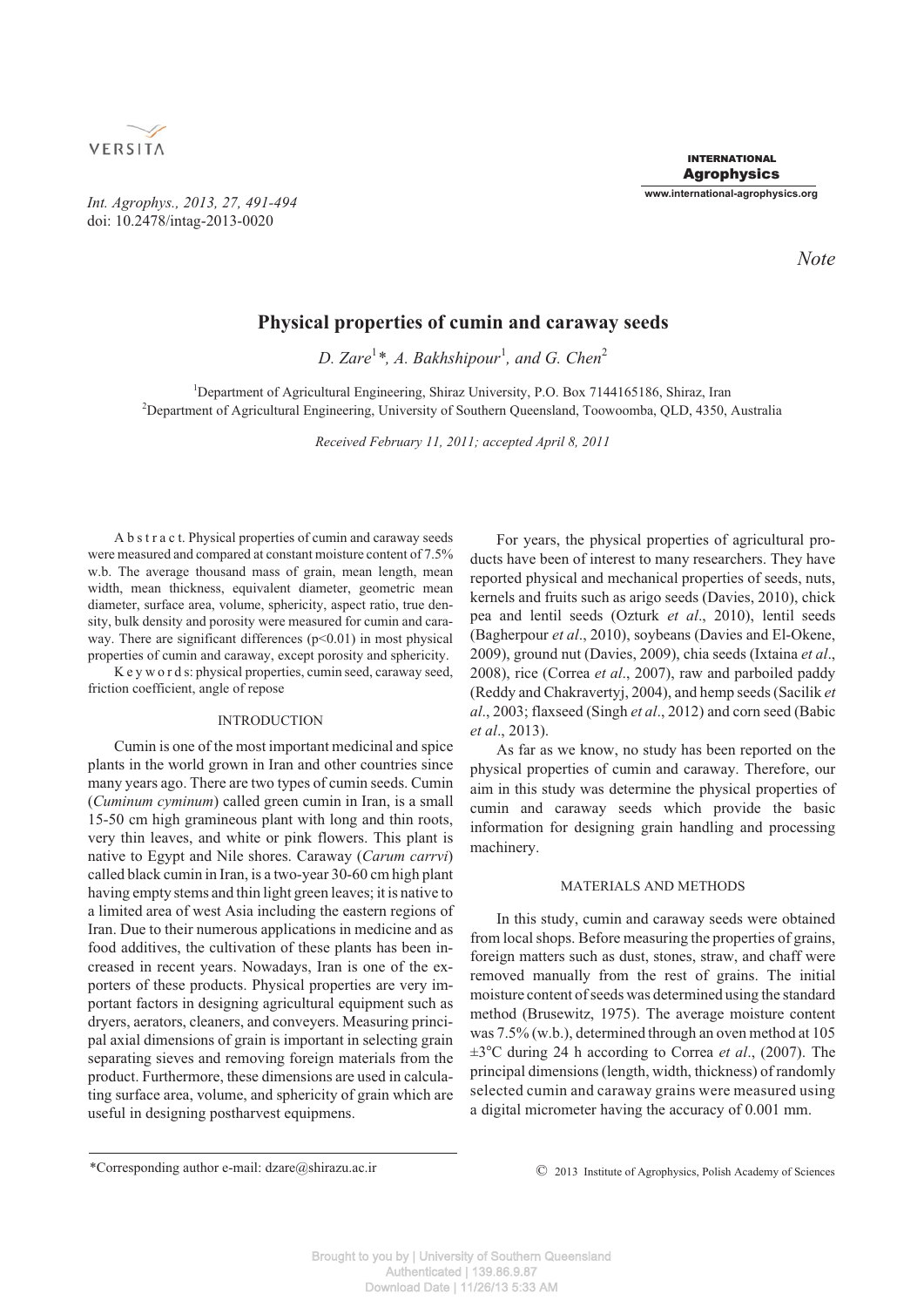

*Int. Agrophys., 2013, 27, 491-494* doi: 10.2478/intag-2013-0020

*Note*

# **Physical properties of cumin and caraway seeds**

D. Zare<sup>1</sup>\*, A. Bakhshipour<sup>1</sup>, and G. Chen<sup>2</sup>

<sup>1</sup>Department of Agricultural Engineering, Shiraz University, P.O. Box 7144165186, Shiraz, Iran 2 Department of Agricultural Engineering, University of Southern Queensland, Toowoomba, QLD, 4350, Australia

*Received February 11, 2011; accepted April 8, 2011*

A b s t r a c t. Physical properties of cumin and caraway seeds were measured and compared at constant moisture content of 7.5% w.b. The average thousand mass of grain, mean length, mean width, mean thickness, equivalent diameter, geometric mean diameter, surface area, volume, sphericity, aspect ratio, true density, bulk density and porosity were measured for cumin and caraway. There are significant differences  $(p<0.01)$  in most physical properties of cumin and caraway, except porosity and sphericity.

K e y w o r d s: physical properties, cumin seed, caraway seed, friction coefficient, angle of repose

# INTRODUCTION

Cumin is one of the most important medicinal and spice plants in the world grown in Iran and other countries since many years ago. There are two types of cumin seeds. Cumin (*Cuminum cyminum*) called green cumin in Iran, is a small 15-50 cm high gramineous plant with long and thin roots, very thin leaves, and white or pink flowers. This plant is native to Egypt and Nile shores. Caraway (*Carum carrvi*) called black cumin in Iran, is a two-year 30-60 cm high plant having empty stems and thin light green leaves; it is native to a limited area of west Asia including the eastern regions of Iran. Due to their numerous applications in medicine and as food additives, the cultivation of these plants has been increased in recent years. Nowadays, Iran is one of the exporters of these products. Physical properties are very important factors in designing agricultural equipment such as dryers, aerators, cleaners, and conveyers. Measuring principal axial dimensions of grain is important in selecting grain separating sieves and removing foreign materials from the product. Furthermore, these dimensions are used in calculating surface area, volume, and sphericity of grain which are useful in designing postharvest equipmens.

For years, the physical properties of agricultural products have been of interest to many researchers. They have reported physical and mechanical properties of seeds, nuts, kernels and fruits such as arigo seeds (Davies, 2010), chick pea and lentil seeds (Ozturk *et al*., 2010), lentil seeds (Bagherpour *et al*., 2010), soybeans (Davies and El-Okene, 2009), ground nut (Davies, 2009), chia seeds (Ixtaina *et al*., 2008), rice (Correa *et al*., 2007), raw and parboiled paddy (Reddy and Chakravertyj, 2004), and hemp seeds (Sacilik *et al*., 2003; flaxseed (Singh *et al*., 2012) and corn seed (Babic *et al*., 2013).

As far as we know, no study has been reported on the physical properties of cumin and caraway. Therefore, our aim in this study was determine the physical properties of cumin and caraway seeds which provide the basic information for designing grain handling and processing machinery.

## MATERIALS AND METHODS

In this study, cumin and caraway seeds were obtained from local shops. Before measuring the properties of grains, foreign matters such as dust, stones, straw, and chaff were removed manually from the rest of grains. The initial moisture content of seeds was determined using the standard method (Brusewitz, 1975). The average moisture content was 7.5% (w.b.), determined through an oven method at 105 ±3-C during 24 h according to Correa *et al*., (2007). The principal dimensions (length, width, thickness) of randomly selected cumin and caraway grains were measured using a digital micrometer having the accuracy of 0.001 mm.

<sup>\*</sup>Corresponding author e-mail: dzare@shirazu.ac.ir © 2013 Institute of Agrophysics, Polish Academy of Sciences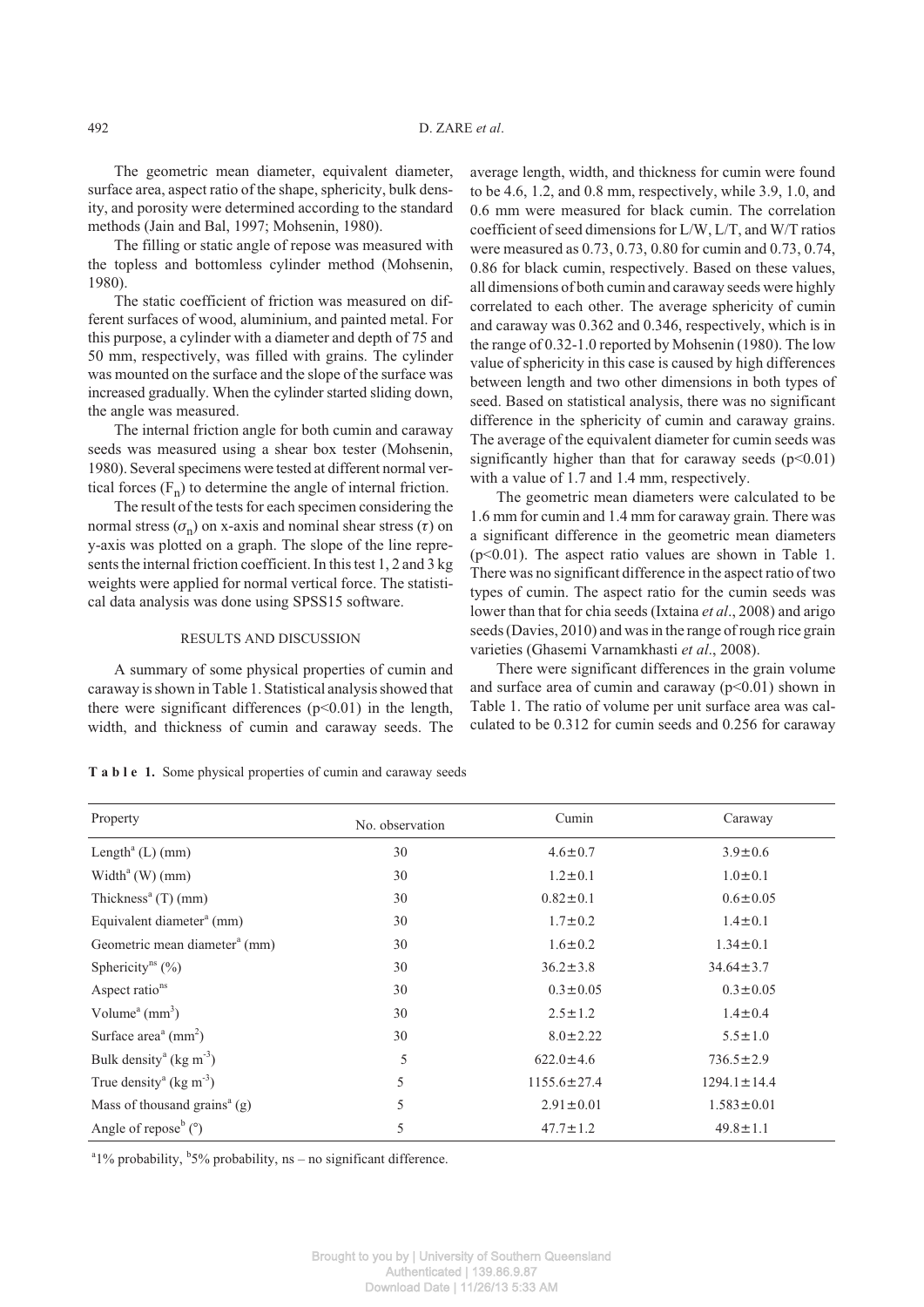The geometric mean diameter, equivalent diameter, surface area, aspect ratio of the shape, sphericity, bulk density, and porosity were determined according to the standard methods (Jain and Bal, 1997; Mohsenin, 1980).

The filling or static angle of repose was measured with the topless and bottomless cylinder method (Mohsenin, 1980).

The static coefficient of friction was measured on different surfaces of wood, aluminium, and painted metal. For this purpose, a cylinder with a diameter and depth of 75 and 50 mm, respectively, was filled with grains. The cylinder was mounted on the surface and the slope of the surface was increased gradually. When the cylinder started sliding down, the angle was measured.

The internal friction angle for both cumin and caraway seeds was measured using a shear box tester (Mohsenin, 1980). Several specimens were tested at different normal vertical forces  $(F_n)$  to determine the angle of internal friction.

The result of the tests for each specimen considering the normal stress  $(\sigma_n)$  on x-axis and nominal shear stress  $(\tau)$  on y-axis was plotted on a graph. The slope of the line represents the internal friction coefficient. In this test 1, 2 and 3 kg weights were applied for normal vertical force. The statistical data analysis was done using SPSS15 software.

#### RESULTS AND DISCUSSION

A summary of some physical properties of cumin and caraway is shown in Table 1. Statistical analysis showed that there were significant differences  $(p<0.01)$  in the length, width, and thickness of cumin and caraway seeds. The average length, width, and thickness for cumin were found to be 4.6, 1.2, and 0.8 mm, respectively, while 3.9, 1.0, and 0.6 mm were measured for black cumin. The correlation coefficient of seed dimensions for L/W, L/T, and W/T ratios were measured as 0.73, 0.73, 0.80 for cumin and 0.73, 0.74, 0.86 for black cumin, respectively. Based on these values, all dimensions of both cumin and caraway seeds were highly correlated to each other. The average sphericity of cumin and caraway was 0.362 and 0.346, respectively, which is in the range of 0.32-1.0 reported by Mohsenin (1980). The low value of sphericity in this case is caused by high differences between length and two other dimensions in both types of seed. Based on statistical analysis, there was no significant difference in the sphericity of cumin and caraway grains. The average of the equivalent diameter for cumin seeds was significantly higher than that for caraway seeds  $(p<0.01)$ with a value of 1.7 and 1.4 mm, respectively.

The geometric mean diameters were calculated to be 1.6 mm for cumin and 1.4 mm for caraway grain. There was a significant difference in the geometric mean diameters (p<0.01). The aspect ratio values are shown in Table 1. There was no significant difference in the aspect ratio of two types of cumin. The aspect ratio for the cumin seeds was lower than that for chia seeds (Ixtaina *et al*., 2008) and arigo seeds (Davies, 2010) and was in the range of rough rice grain varieties (Ghasemi Varnamkhasti *et al*., 2008).

There were significant differences in the grain volume and surface area of cumin and caraway  $(p<0.01)$  shown in Table 1. The ratio of volume per unit surface area was calculated to be 0.312 for cumin seeds and 0.256 for caraway

| Property                                            | No. observation | Cumin             | Caraway           |  |
|-----------------------------------------------------|-----------------|-------------------|-------------------|--|
| Length <sup>a</sup> $(L)$ (mm)                      | 30              | $4.6 \pm 0.7$     | $3.9 \pm 0.6$     |  |
| Width <sup>a</sup> (W) $(mm)$                       | 30              | $1.2 \pm 0.1$     | $1.0 \pm 0.1$     |  |
| Thickness <sup>a</sup> $(T)$ (mm)                   | 30              | $0.82 \pm 0.1$    | $0.6 \pm 0.05$    |  |
| Equivalent diameter <sup>a</sup> (mm)               | 30              | $1.7 \pm 0.2$     | $1.4 \pm 0.1$     |  |
| Geometric mean diameter <sup>a</sup> (mm)           | 30              | $1.6 \pm 0.2$     | $1.34 \pm 0.1$    |  |
| Sphericity <sup>ns</sup> $(\% )$                    | 30              | $36.2 \pm 3.8$    | $34.64 \pm 3.7$   |  |
| Aspect ratio <sup>ns</sup>                          | 30              | $0.3 \pm 0.05$    | $0.3 \pm 0.05$    |  |
| Volume <sup><math>a</math></sup> (mm <sup>3</sup> ) | 30              | $2.5 \pm 1.2$     | $1.4 \pm 0.4$     |  |
| Surface $areaa$ (mm <sup>2</sup> )                  | 30              | $8.0 \pm 2.22$    | $5.5 \pm 1.0$     |  |
| Bulk density <sup>a</sup> (kg m <sup>-3</sup> )     | 5               | $622.0 \pm 4.6$   | $736.5 \pm 2.9$   |  |
| True density <sup>a</sup> (kg m <sup>-3</sup> )     | 5               | $1155.6 \pm 27.4$ | $1294.1 \pm 14.4$ |  |
| Mass of thousand grains <sup>a</sup> (g)            | 5               | $2.91 \pm 0.01$   | $1.583 \pm 0.01$  |  |
| Angle of repose <sup>b</sup> $(°)$                  | 5               | $47.7 \pm 1.2$    | $49.8 \pm 1.1$    |  |

**T a b l e 1.** Some physical properties of cumin and caraway seeds

 $1\%$  probability,  $5\%$  probability, ns – no significant difference.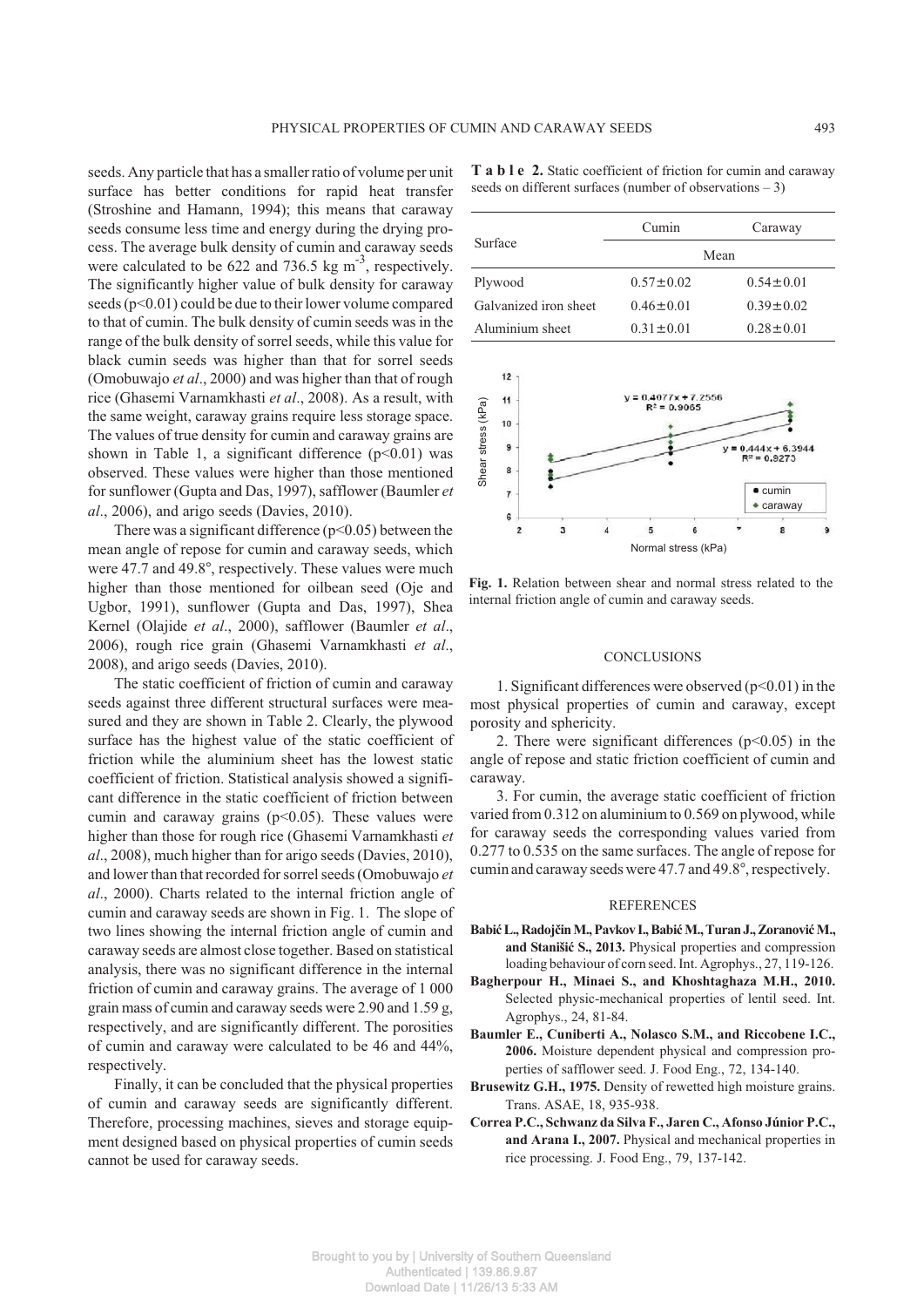seeds. Any particle that has a smaller ratio of volume per unit surface has better conditions for rapid heat transfer (Stroshine and Hamann, 1994); this means that caraway seeds consume less time and energy during the drying process. The average bulk density of cumin and caraway seeds were calculated to be 622 and 736.5 kg  $\text{m}^3$ , respectively. The significantly higher value of bulk density for caraway seeds  $(p<0.01)$  could be due to their lower volume compared to that of cumin. The bulk density of cumin seeds was in the range of the bulk density of sorrel seeds, while this value for black cumin seeds was higher than that for sorrel seeds (Omobuwajo *et al*., 2000) and was higher than that of rough rice (Ghasemi Varnamkhasti *et al*., 2008). As a result, with the same weight, caraway grains require less storage space. The values of true density for cumin and caraway grains are shown in Table 1, a significant difference  $(p<0.01)$  was observed. These values were higher than those mentioned for sunflower (Gupta and Das, 1997), safflower (Baumler *et al*., 2006), and arigo seeds (Davies, 2010).

There was a significant difference  $(p<0.05)$  between the mean angle of repose for cumin and caraway seeds, which were 47.7 and 49.8°, respectively. These values were much higher than those mentioned for oilbean seed (Oje and Ugbor, 1991), sunflower (Gupta and Das, 1997), Shea Kernel (Olajide *et al*., 2000), safflower (Baumler *et al*., 2006), rough rice grain (Ghasemi Varnamkhasti *et al*., 2008), and arigo seeds (Davies, 2010).

The static coefficient of friction of cumin and caraway seeds against three different structural surfaces were measured and they are shown in Table 2. Clearly, the plywood surface has the highest value of the static coefficient of friction while the aluminium sheet has the lowest static coefficient of friction. Statistical analysis showed a significant difference in the static coefficient of friction between cumin and caraway grains  $(p<0.05)$ . These values were higher than those for rough rice (Ghasemi Varnamkhasti *et al*., 2008), much higher than for arigo seeds (Davies, 2010), and lower than that recorded for sorrel seeds (Omobuwajo *et al*., 2000). Charts related to the internal friction angle of cumin and caraway seeds are shown in Fig. 1. The slope of two lines showing the internal friction angle of cumin and caraway seeds are almost close together. Based on statistical analysis, there was no significant difference in the internal friction of cumin and caraway grains. The average of 1 000 grain mass of cumin and caraway seeds were 2.90 and 1.59 g, respectively, and are significantly different. The porosities of cumin and caraway were calculated to be 46 and 44%, respectively.

Finally, it can be concluded that the physical properties of cumin and caraway seeds are significantly different. Therefore, processing machines, sieves and storage equipment designed based on physical properties of cumin seeds cannot be used for caraway seeds.

**T a b l e 2.** Static coefficient of friction for cumin and caraway seeds on different surfaces (number of observations – 3)

|                       | Cumin           | Caraway         |
|-----------------------|-----------------|-----------------|
| Surface               |                 | Mean            |
| Plywood               | $0.57 \pm 0.02$ | $0.54 \pm 0.01$ |
| Galvanized iron sheet | $0.46 \pm 0.01$ | $0.39 \pm 0.02$ |
| Aluminium sheet       | $0.31 \pm 0.01$ | $0.28 \pm 0.01$ |



**Fig. 1.** Relation between shear and normal stress related to the internal friction angle of cumin and caraway seeds.

#### **CONCLUSIONS**

1. Significant differences were observed  $(p<0.01)$  in the most physical properties of cumin and caraway, except porosity and sphericity.

2. There were significant differences  $(p<0.05)$  in the angle of repose and static friction coefficient of cumin and caraway.

3. For cumin, the average static coefficient of friction varied from 0.312 on aluminium to 0.569 on plywood, while for caraway seeds the corresponding values varied from 0.277 to 0.535 on the same surfaces. The angle of repose for cumin and caraway seeds were 47.7 and 49.8°, respectively.

## REFERENCES

- Babić L., Radojčin M., Pavkov I., Babić M., Turan J., Zoranović M., and Stanišić S., 2013. Physical properties and compression loading behaviour of corn seed. Int. Agrophys., 27, 119-126.
- **Bagherpour H., Minaei S., and Khoshtaghaza M.H., 2010.** Selected physic-mechanical properties of lentil seed. Int. Agrophys., 24, 81-84.
- **Baumler E., Cuniberti A., Nolasco S.M., and Riccobene I.C., 2006.** Moisture dependent physical and compression properties of safflower seed. J. Food Eng., 72, 134-140.
- **Brusewitz G.H., 1975.** Density of rewetted high moisture grains. Trans. ASAE, 18, 935-938.
- **Correa P.C., Schwanz da Silva F., Jaren C., Afonso Júnior P.C., and Arana I., 2007.** Physical and mechanical properties in rice processing. J. Food Eng., 79, 137-142.